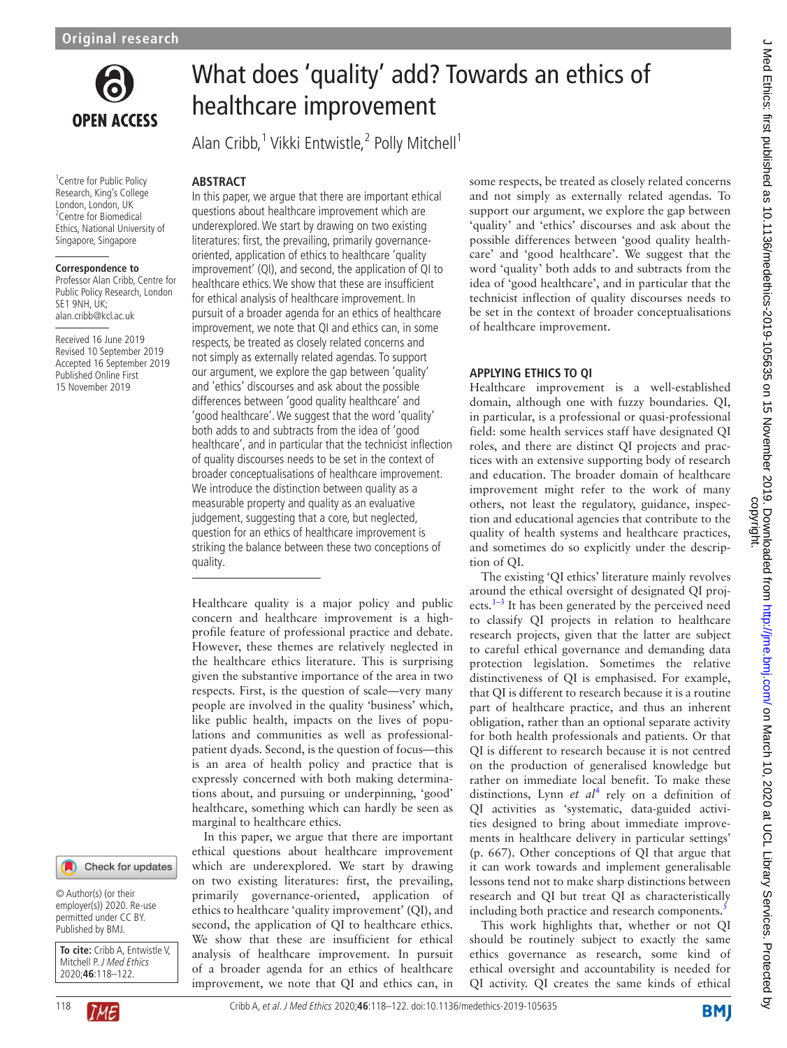

<sup>1</sup> Centre for Public Policy Research, King's College London, London, UK <sup>2</sup> Centre for Biomedical Ethics, National University of Singapore, Singapore

#### **Correspondence to**

Professor Alan Cribb, Centre for Public Policy Research, London SE1 9NH, UK; alan.cribb@kcl.ac.uk

Received 16 June 2019 Revised 10 September 2019 Accepted 16 September 2019 Published Online First 15 November 2019



© Author(s) (or their employer(s)) 2020. Re-use permitted under CC BY. Published by BMJ.

**To cite:** Cribb A, Entwistle V, Mitchell P. J Med Ethics 2020;**46**:118–122.



# What does 'quality' add? Towards an ethics of healthcare improvement

Alan Cribb,<sup>1</sup> Vikki Entwistle,<sup>2</sup> Polly Mitchell<sup>1</sup>

## **Abstract**

In this paper, we argue that there are important ethical questions about healthcare improvement which are underexplored. We start by drawing on two existing literatures: first, the prevailing, primarily governanceoriented, application of ethics to healthcare 'quality improvement' (QI), and second, the application of QI to healthcare ethics. We show that these are insufficient for ethical analysis of healthcare improvement. In pursuit of a broader agenda for an ethics of healthcare improvement, we note that QI and ethics can, in some respects, be treated as closely related concerns and not simply as externally related agendas. To support our argument, we explore the gap between 'quality' and 'ethics' discourses and ask about the possible differences between 'good quality healthcare' and 'good healthcare'. We suggest that the word 'quality' both adds to and subtracts from the idea of 'good healthcare', and in particular that the technicist inflection of quality discourses needs to be set in the context of broader conceptualisations of healthcare improvement. We introduce the distinction between quality as a measurable property and quality as an evaluative judgement, suggesting that a core, but neglected, question for an ethics of healthcare improvement is striking the balance between these two conceptions of quality.

Healthcare quality is a major policy and public concern and healthcare improvement is a highprofile feature of professional practice and debate. However, these themes are relatively neglected in the healthcare ethics literature. This is surprising given the substantive importance of the area in two respects. First, is the question of scale—very many people are involved in the quality 'business' which, like public health, impacts on the lives of populations and communities as well as professionalpatient dyads. Second, is the question of focus—this is an area of health policy and practice that is expressly concerned with both making determinations about, and pursuing or underpinning, 'good' healthcare, something which can hardly be seen as marginal to healthcare ethics.

In this paper, we argue that there are important ethical questions about healthcare improvement which are underexplored. We start by drawing on two existing literatures: first, the prevailing, primarily governance-oriented, application of ethics to healthcare 'quality improvement' (QI), and second, the application of QI to healthcare ethics. We show that these are insufficient for ethical analysis of healthcare improvement. In pursuit of a broader agenda for an ethics of healthcare improvement, we note that QI and ethics can, in some respects, be treated as closely related concerns and not simply as externally related agendas. To support our argument, we explore the gap between 'quality' and 'ethics' discourses and ask about the possible differences between 'good quality healthcare' and 'good healthcare'. We suggest that the word 'quality' both adds to and subtracts from the idea of 'good healthcare', and in particular that the technicist inflection of quality discourses needs to be set in the context of broader conceptualisations of healthcare improvement.

## **Applying ethics to QI**

Healthcare improvement is a well-established domain, although one with fuzzy boundaries. QI, in particular, is a professional or quasi-professional field: some health services staff have designated QI roles, and there are distinct QI projects and practices with an extensive supporting body of research and education. The broader domain of healthcare improvement might refer to the work of many others, not least the regulatory, guidance, inspection and educational agencies that contribute to the quality of health systems and healthcare practices, and sometimes do so explicitly under the description of QI.

The existing 'QI ethics' literature mainly revolves around the ethical oversight of designated QI projects. $1-3$  It has been generated by the perceived need to classify QI projects in relation to healthcare research projects, given that the latter are subject to careful ethical governance and demanding data protection legislation. Sometimes the relative distinctiveness of QI is emphasised. For example, that QI is different to research because it is a routine part of healthcare practice, and thus an inherent obligation, rather than an optional separate activity for both health professionals and patients. Or that QI is different to research because it is not centred on the production of generalised knowledge but rather on immediate local benefit. To make these distinctions, Lynn *et al*[4](#page-3-1) rely on a definition of QI activities as 'systematic, data-guided activities designed to bring about immediate improvements in healthcare delivery in particular settings' (p. 667). Other conceptions of QI that argue that it can work towards and implement generalisable lessons tend not to make sharp distinctions between research and QI but treat QI as characteristically including both practice and research components.<sup>5</sup>

This work highlights that, whether or not QI should be routinely subject to exactly the same ethics governance as research, some kind of ethical oversight and accountability is needed for QI activity. QI creates the same kinds of ethical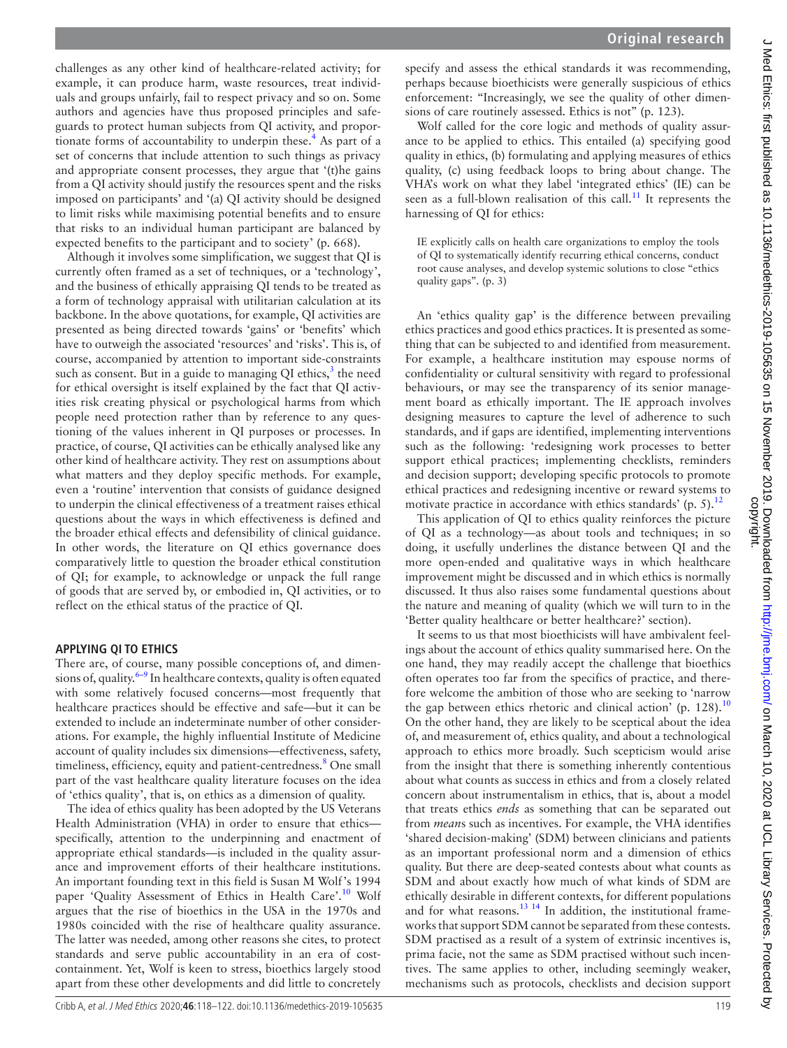challenges as any other kind of healthcare-related activity; for example, it can produce harm, waste resources, treat individuals and groups unfairly, fail to respect privacy and so on. Some authors and agencies have thus proposed principles and safeguards to protect human subjects from QI activity, and propor-tionate forms of accountability to underpin these.<sup>[4](#page-3-1)</sup> As part of a set of concerns that include attention to such things as privacy and appropriate consent processes, they argue that '(t)he gains from a QI activity should justify the resources spent and the risks imposed on participants' and '(a) QI activity should be designed to limit risks while maximising potential benefits and to ensure that risks to an individual human participant are balanced by expected benefits to the participant and to society' (p. 668).

Although it involves some simplification, we suggest that QI is currently often framed as a set of techniques, or a 'technology', and the business of ethically appraising QI tends to be treated as a form of technology appraisal with utilitarian calculation at its backbone. In the above quotations, for example, QI activities are presented as being directed towards 'gains' or 'benefits' which have to outweigh the associated 'resources' and 'risks'. This is, of course, accompanied by attention to important side-constraints such as consent. But in a guide to managing QI ethics, $3$  the need for ethical oversight is itself explained by the fact that QI activities risk creating physical or psychological harms from which people need protection rather than by reference to any questioning of the values inherent in QI purposes or processes. In practice, of course, QI activities can be ethically analysed like any other kind of healthcare activity. They rest on assumptions about what matters and they deploy specific methods. For example, even a 'routine' intervention that consists of guidance designed to underpin the clinical effectiveness of a treatment raises ethical questions about the ways in which effectiveness is defined and the broader ethical effects and defensibility of clinical guidance. In other words, the literature on QI ethics governance does comparatively little to question the broader ethical constitution of QI; for example, to acknowledge or unpack the full range of goods that are served by, or embodied in, QI activities, or to reflect on the ethical status of the practice of QI.

## **Applying QI to ethics**

There are, of course, many possible conceptions of, and dimensions of, quality. $6-9$  In healthcare contexts, quality is often equated with some relatively focused concerns—most frequently that healthcare practices should be effective and safe—but it can be extended to include an indeterminate number of other considerations. For example, the highly influential Institute of Medicine account of quality includes six dimensions—effectiveness, safety, timeliness, efficiency, equity and patient-centredness.<sup>8</sup> One small part of the vast healthcare quality literature focuses on the idea of 'ethics quality', that is, on ethics as a dimension of quality.

The idea of ethics quality has been adopted by the US Veterans Health Administration (VHA) in order to ensure that ethics specifically, attention to the underpinning and enactment of appropriate ethical standards—is included in the quality assurance and improvement efforts of their healthcare institutions. An important founding text in this field is Susan M Wolf's 1994 paper 'Quality Assessment of Ethics in Health Care'.<sup>[10](#page-3-6)</sup> Wolf argues that the rise of bioethics in the USA in the 1970s and 1980s coincided with the rise of healthcare quality assurance. The latter was needed, among other reasons she cites, to protect standards and serve public accountability in an era of costcontainment. Yet, Wolf is keen to stress, bioethics largely stood apart from these other developments and did little to concretely

specify and assess the ethical standards it was recommending, perhaps because bioethicists were generally suspicious of ethics enforcement: "Increasingly, we see the quality of other dimensions of care routinely assessed. Ethics is not" (p. 123).

Wolf called for the core logic and methods of quality assurance to be applied to ethics. This entailed (a) specifying good quality in ethics, (b) formulating and applying measures of ethics quality, (c) using feedback loops to bring about change. The VHA's work on what they label 'integrated ethics' (IE) can be seen as a full-blown realisation of this call. $^{11}$  It represents the harnessing of QI for ethics:

IE explicitly calls on health care organizations to employ the tools of QI to systematically identify recurring ethical concerns, conduct root cause analyses, and develop systemic solutions to close "ethics quality gaps". (p. 3)

An 'ethics quality gap' is the difference between prevailing ethics practices and good ethics practices. It is presented as something that can be subjected to and identified from measurement. For example, a healthcare institution may espouse norms of confidentiality or cultural sensitivity with regard to professional behaviours, or may see the transparency of its senior management board as ethically important. The IE approach involves designing measures to capture the level of adherence to such standards, and if gaps are identified, implementing interventions such as the following: 'redesigning work processes to better support ethical practices; implementing checklists, reminders and decision support; developing specific protocols to promote ethical practices and redesigning incentive or reward systems to motivate practice in accordance with ethics standards'  $(p. 5)$ .<sup>[12](#page-3-8)</sup>

This application of QI to ethics quality reinforces the picture of QI as a technology—as about tools and techniques; in so doing, it usefully underlines the distance between QI and the more open-ended and qualitative ways in which healthcare improvement might be discussed and in which ethics is normally discussed. It thus also raises some fundamental questions about the nature and meaning of quality (which we will turn to in the 'Better quality healthcare or better healthcare?' section).

It seems to us that most bioethicists will have ambivalent feelings about the account of ethics quality summarised here. On the one hand, they may readily accept the challenge that bioethics often operates too far from the specifics of practice, and therefore welcome the ambition of those who are seeking to 'narrow the gap between ethics rhetoric and clinical action' (p.  $128$ ).<sup>[10](#page-3-6)</sup> On the other hand, they are likely to be sceptical about the idea of, and measurement of, ethics quality, and about a technological approach to ethics more broadly. Such scepticism would arise from the insight that there is something inherently contentious about what counts as success in ethics and from a closely related concern about instrumentalism in ethics, that is, about a model that treats ethics *ends* as something that can be separated out from *mean*s such as incentives. For example, the VHA identifies 'shared decision-making' (SDM) between clinicians and patients as an important professional norm and a dimension of ethics quality. But there are deep-seated contests about what counts as SDM and about exactly how much of what kinds of SDM are ethically desirable in different contexts, for different populations and for what reasons. $^{13}$  <sup>14</sup> In addition, the institutional frameworks that support SDM cannot be separated from these contests. SDM practised as a result of a system of extrinsic incentives is, prima facie, not the same as SDM practised without such incentives. The same applies to other, including seemingly weaker, mechanisms such as protocols, checklists and decision support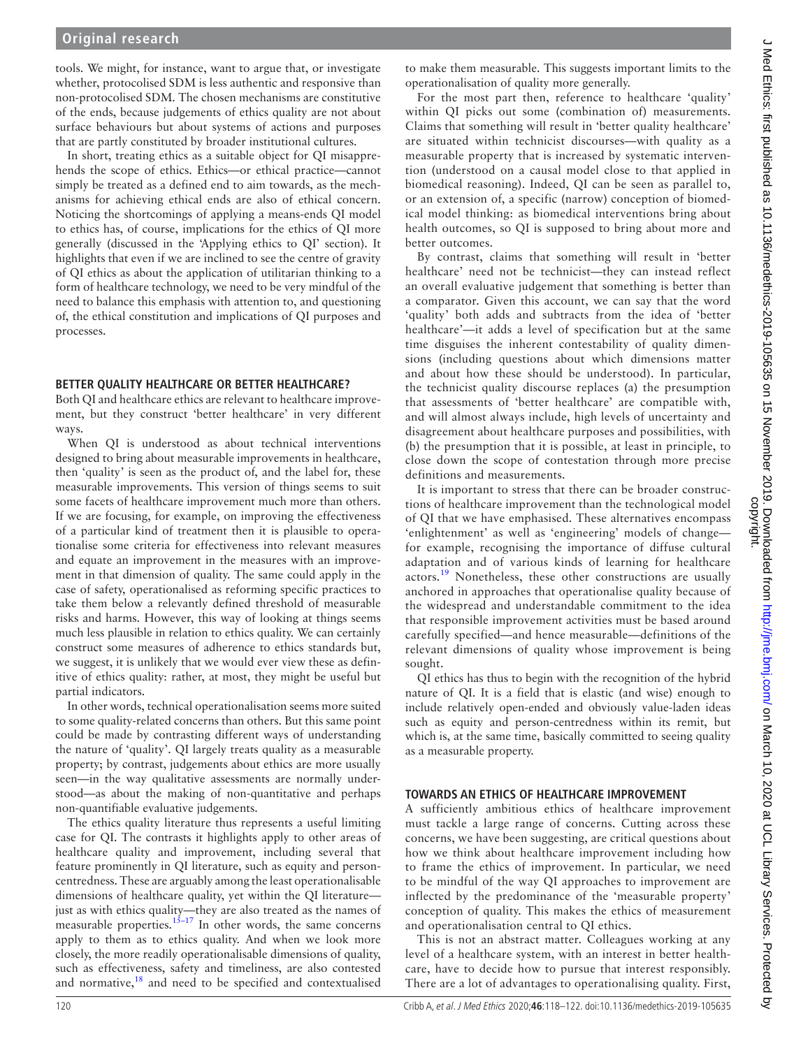# **Original research**

tools. We might, for instance, want to argue that, or investigate whether, protocolised SDM is less authentic and responsive than non-protocolised SDM. The chosen mechanisms are constitutive of the ends, because judgements of ethics quality are not about surface behaviours but about systems of actions and purposes that are partly constituted by broader institutional cultures.

In short, treating ethics as a suitable object for QI misapprehends the scope of ethics. Ethics—or ethical practice—cannot simply be treated as a defined end to aim towards, as the mechanisms for achieving ethical ends are also of ethical concern. Noticing the shortcomings of applying a means-ends QI model to ethics has, of course, implications for the ethics of QI more generally (discussed in the 'Applying ethics to QI' section). It highlights that even if we are inclined to see the centre of gravity of QI ethics as about the application of utilitarian thinking to a form of healthcare technology, we need to be very mindful of the need to balance this emphasis with attention to, and questioning of, the ethical constitution and implications of QI purposes and processes.

### **Better quality healthcare or better healthcare?**

Both QI and healthcare ethics are relevant to healthcare improvement, but they construct 'better healthcare' in very different ways.

When QI is understood as about technical interventions designed to bring about measurable improvements in healthcare, then 'quality' is seen as the product of, and the label for, these measurable improvements. This version of things seems to suit some facets of healthcare improvement much more than others. If we are focusing, for example, on improving the effectiveness of a particular kind of treatment then it is plausible to operationalise some criteria for effectiveness into relevant measures and equate an improvement in the measures with an improvement in that dimension of quality. The same could apply in the case of safety, operationalised as reforming specific practices to take them below a relevantly defined threshold of measurable risks and harms. However, this way of looking at things seems much less plausible in relation to ethics quality. We can certainly construct some measures of adherence to ethics standards but, we suggest, it is unlikely that we would ever view these as definitive of ethics quality: rather, at most, they might be useful but partial indicators.

In other words, technical operationalisation seems more suited to some quality-related concerns than others. But this same point could be made by contrasting different ways of understanding the nature of 'quality'. QI largely treats quality as a measurable property; by contrast, judgements about ethics are more usually seen—in the way qualitative assessments are normally understood—as about the making of non-quantitative and perhaps non-quantifiable evaluative judgements.

The ethics quality literature thus represents a useful limiting case for QI. The contrasts it highlights apply to other areas of healthcare quality and improvement, including several that feature prominently in QI literature, such as equity and personcentredness. These are arguably among the least operationalisable dimensions of healthcare quality, yet within the QI literature just as with ethics quality—they are also treated as the names of measurable properties.<sup>15–17</sup> In other words, the same concerns apply to them as to ethics quality. And when we look more closely, the more readily operationalisable dimensions of quality, such as effectiveness, safety and timeliness, are also contested and normative, $18$  and need to be specified and contextualised

to make them measurable. This suggests important limits to the operationalisation of quality more generally.

For the most part then, reference to healthcare 'quality' within QI picks out some (combination of) measurements. Claims that something will result in 'better quality healthcare' are situated within technicist discourses—with quality as a measurable property that is increased by systematic intervention (understood on a causal model close to that applied in biomedical reasoning). Indeed, QI can be seen as parallel to, or an extension of, a specific (narrow) conception of biomedical model thinking: as biomedical interventions bring about health outcomes, so QI is supposed to bring about more and better outcomes.

By contrast, claims that something will result in 'better healthcare' need not be technicist—they can instead reflect an overall evaluative judgement that something is better than a comparator. Given this account, we can say that the word 'quality' both adds and subtracts from the idea of 'better healthcare'—it adds a level of specification but at the same time disguises the inherent contestability of quality dimensions (including questions about which dimensions matter and about how these should be understood). In particular, the technicist quality discourse replaces (a) the presumption that assessments of 'better healthcare' are compatible with, and will almost always include, high levels of uncertainty and disagreement about healthcare purposes and possibilities, with (b) the presumption that it is possible, at least in principle, to close down the scope of contestation through more precise definitions and measurements.

It is important to stress that there can be broader constructions of healthcare improvement than the technological model of QI that we have emphasised. These alternatives encompass 'enlightenment' as well as 'engineering' models of change for example, recognising the importance of diffuse cultural adaptation and of various kinds of learning for healthcare actors.<sup>[19](#page-4-1)</sup> Nonetheless, these other constructions are usually anchored in approaches that operationalise quality because of the widespread and understandable commitment to the idea that responsible improvement activities must be based around carefully specified—and hence measurable—definitions of the relevant dimensions of quality whose improvement is being sought.

QI ethics has thus to begin with the recognition of the hybrid nature of QI. It is a field that is elastic (and wise) enough to include relatively open-ended and obviously value-laden ideas such as equity and person-centredness within its remit, but which is, at the same time, basically committed to seeing quality as a measurable property.

## **Towards an ethics of healthcare improvement**

A sufficiently ambitious ethics of healthcare improvement must tackle a large range of concerns. Cutting across these concerns, we have been suggesting, are critical questions about how we think about healthcare improvement including how to frame the ethics of improvement. In particular, we need to be mindful of the way QI approaches to improvement are inflected by the predominance of the 'measurable property' conception of quality. This makes the ethics of measurement and operationalisation central to QI ethics.

This is not an abstract matter. Colleagues working at any level of a healthcare system, with an interest in better healthcare, have to decide how to pursue that interest responsibly. There are a lot of advantages to operationalising quality. First,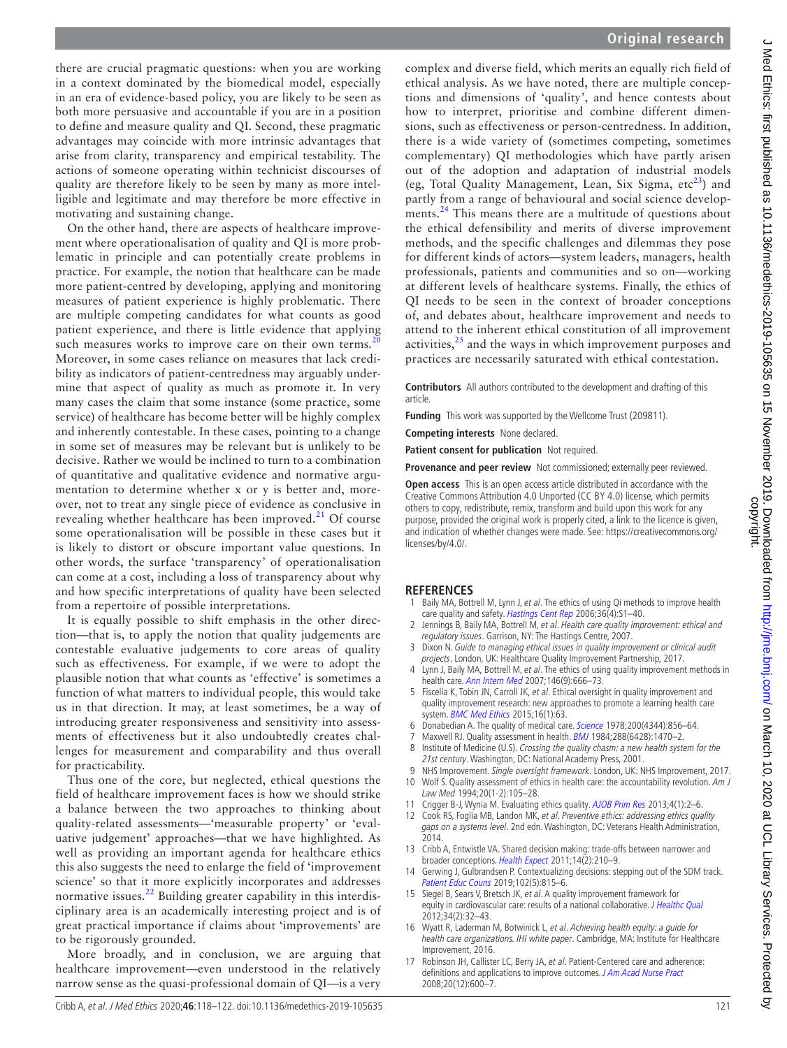there are crucial pragmatic questions: when you are working in a context dominated by the biomedical model, especially in an era of evidence-based policy, you are likely to be seen as both more persuasive and accountable if you are in a position to define and measure quality and QI. Second, these pragmatic advantages may coincide with more intrinsic advantages that arise from clarity, transparency and empirical testability. The actions of someone operating within technicist discourses of quality are therefore likely to be seen by many as more intelligible and legitimate and may therefore be more effective in motivating and sustaining change.

On the other hand, there are aspects of healthcare improvement where operationalisation of quality and QI is more problematic in principle and can potentially create problems in practice. For example, the notion that healthcare can be made more patient-centred by developing, applying and monitoring measures of patient experience is highly problematic. There are multiple competing candidates for what counts as good patient experience, and there is little evidence that applying such measures works to improve care on their own terms.<sup>[20](#page-4-2)</sup> Moreover, in some cases reliance on measures that lack credibility as indicators of patient-centredness may arguably undermine that aspect of quality as much as promote it. In very many cases the claim that some instance (some practice, some service) of healthcare has become better will be highly complex and inherently contestable. In these cases, pointing to a change in some set of measures may be relevant but is unlikely to be decisive. Rather we would be inclined to turn to a combination of quantitative and qualitative evidence and normative argumentation to determine whether x or y is better and, moreover, not to treat any single piece of evidence as conclusive in revealing whether healthcare has been improved. $^{21}$  $^{21}$  $^{21}$  Of course some operationalisation will be possible in these cases but it is likely to distort or obscure important value questions. In other words, the surface 'transparency' of operationalisation can come at a cost, including a loss of transparency about why and how specific interpretations of quality have been selected from a repertoire of possible interpretations.

It is equally possible to shift emphasis in the other direction—that is, to apply the notion that quality judgements are contestable evaluative judgements to core areas of quality such as effectiveness. For example, if we were to adopt the plausible notion that what counts as 'effective' is sometimes a function of what matters to individual people, this would take us in that direction. It may, at least sometimes, be a way of introducing greater responsiveness and sensitivity into assessments of effectiveness but it also undoubtedly creates challenges for measurement and comparability and thus overall for practicability.

Thus one of the core, but neglected, ethical questions the field of healthcare improvement faces is how we should strike a balance between the two approaches to thinking about quality-related assessments—'measurable property' or 'evaluative judgement' approaches—that we have highlighted. As well as providing an important agenda for healthcare ethics this also suggests the need to enlarge the field of 'improvement science' so that it more explicitly incorporates and addresses normative issues.<sup>[22](#page-4-4)</sup> Building greater capability in this interdisciplinary area is an academically interesting project and is of great practical importance if claims about 'improvements' are to be rigorously grounded.

More broadly, and in conclusion, we are arguing that healthcare improvement—even understood in the relatively narrow sense as the quasi-professional domain of QI—is a very

complex and diverse field, which merits an equally rich field of ethical analysis. As we have noted, there are multiple conceptions and dimensions of 'quality', and hence contests about how to interpret, prioritise and combine different dimensions, such as effectiveness or person-centredness. In addition, there is a wide variety of (sometimes competing, sometimes complementary) QI methodologies which have partly arisen out of the adoption and adaptation of industrial models (eg, Total Quality Management, Lean, Six Sigma,  $\text{etc}^{23}$ ) and partly from a range of behavioural and social science developments.<sup>24</sup> This means there are a multitude of questions about the ethical defensibility and merits of diverse improvement methods, and the specific challenges and dilemmas they pose for different kinds of actors—system leaders, managers, health professionals, patients and communities and so on—working at different levels of healthcare systems. Finally, the ethics of QI needs to be seen in the context of broader conceptions of, and debates about, healthcare improvement and needs to attend to the inherent ethical constitution of all improvement activities,  $2<sup>5</sup>$  and the ways in which improvement purposes and practices are necessarily saturated with ethical contestation.

**Contributors** All authors contributed to the development and drafting of this article.

**Funding** This work was supported by the Wellcome Trust (209811).

**Competing interests** None declared.

**Patient consent for publication** Not required.

**Provenance and peer review** Not commissioned; externally peer reviewed.

**Open access** This is an open access article distributed in accordance with the Creative Commons Attribution 4.0 Unported (CC BY 4.0) license, which permits others to copy, redistribute, remix, transform and build upon this work for any purpose, provided the original work is properly cited, a link to the licence is given, and indication of whether changes were made. See: [https://creativecommons.org/](https://creativecommons.org/licenses/by/4.0/) [licenses/by/4.0/.](https://creativecommons.org/licenses/by/4.0/)

#### **References**

- <span id="page-3-0"></span>Baily MA, Bottrell M, Lynn J, et al. The ethics of using Qi methods to improve health care quality and safety. [Hastings Cent Rep](http://dx.doi.org/10.1353/hcr.2006.0054) 2006;36(4):S1-40.
- 2 Jennings B, Baily MA, Bottrell M, et al. Health care quality improvement: ethical and regulatory issues. Garrison, NY: The Hastings Centre, 2007.
- <span id="page-3-3"></span>3 Dixon N. Guide to managing ethical issues in quality improvement or clinical audit projects. London, UK: Healthcare Quality Improvement Partnership, 2017.
- <span id="page-3-1"></span>4 Lynn J, Baily MA, Bottrell M, et al. The ethics of using quality improvement methods in health care. [Ann Intern Med](http://dx.doi.org/10.7326/0003-4819-146-9-200705010-00155) 2007;146(9):666–73.
- <span id="page-3-2"></span>5 Fiscella K, Tobin JN, Carroll JK, et al. Ethical oversight in quality improvement and quality improvement research: new approaches to promote a learning health care system. [BMC Med Ethics](http://dx.doi.org/10.1186/s12910-015-0056-2) 2015;16(1):63.
- <span id="page-3-4"></span>6 Donabedian A. The quality of medical care. [Science](http://dx.doi.org/10.1126/science.417400) 1978;200(4344):856–64.
- Maxwell RJ. Quality assessment in health. [BMJ](http://dx.doi.org/10.1136/bmj.288.6428.1470) 1984;288(6428):1470-2.
- <span id="page-3-5"></span>8 Institute of Medicine (U.S). Crossing the quality chasm: a new health system for the 21st century. Washington, DC: National Academy Press, 2001.
- 9 NHS Improvement. Single oversight framework. London, UK: NHS Improvement, 2017.
- <span id="page-3-6"></span>10 Wolf S. Quality assessment of ethics in health care: the accountability revolution. Am J Law Med 1994;20(1-2):105–28.
- <span id="page-3-7"></span>11 Crigger B-J, Wynia M. Evaluating ethics quality. [AJOB Prim Res](http://dx.doi.org/10.1080/21507716.2012.756837) 2013;4(1):2-6.
- <span id="page-3-8"></span>12 Cook RS, Foglia MB, Landon MK, et al. Preventive ethics: addressing ethics quality
- gaps on a systems level. 2nd edn. Washington, DC: Veterans Health Administration, 2014.
- <span id="page-3-9"></span>13 Cribb A, Entwistle VA. Shared decision making: trade-offs between narrower and broader conceptions. [Health Expect](http://dx.doi.org/10.1111/j.1369-7625.2011.00694.x) 2011;14(2):210-9.
- 14 Gerwing J, Gulbrandsen P. Contextualizing decisions: stepping out of the SDM track. [Patient Educ Couns](http://dx.doi.org/10.1016/j.pec.2019.03.024) 2019;102(5):815–6.
- <span id="page-3-10"></span>15 Siegel B, Sears V, Bretsch JK, et al. A quality improvement framework for equity in cardiovascular care: results of a national collaborative. *[J Healthc Qual](http://dx.doi.org/10.1111/j.1945-1474.2011.00196.x)* 2012;34(2):32–43.
- 16 Wyatt R, Laderman M, Botwinick L, et al. Achieving health equity: a guide for health care organizations. IHI white paper. Cambridge, MA: Institute for Healthcare Improvement, 2016.
- 17 Robinson JH, Callister LC, Berry JA, et al. Patient-Centered care and adherence: definitions and applications to improve outcomes. [J Am Acad Nurse Pract](http://dx.doi.org/10.1111/j.1745-7599.2008.00360.x) 2008;20(12):600–7.

੍ਰ